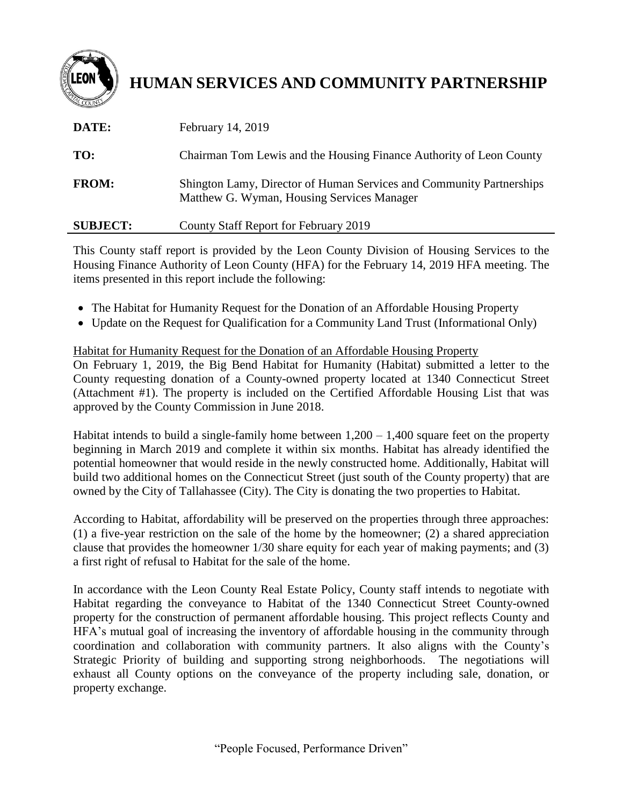

# **HUMAN SERVICES AND COMMUNITY PARTNERSHIP**

| DATE:        | February 14, 2019                                                                                                  |
|--------------|--------------------------------------------------------------------------------------------------------------------|
| TO:          | Chairman Tom Lewis and the Housing Finance Authority of Leon County                                                |
| <b>FROM:</b> | Shington Lamy, Director of Human Services and Community Partnerships<br>Matthew G. Wyman, Housing Services Manager |

## **SUBJECT:** County Staff Report for February 2019

This County staff report is provided by the Leon County Division of Housing Services to the Housing Finance Authority of Leon County (HFA) for the February 14, 2019 HFA meeting. The items presented in this report include the following:

- The Habitat for Humanity Request for the Donation of an Affordable Housing Property
- Update on the Request for Qualification for a Community Land Trust (Informational Only)

# Habitat for Humanity Request for the Donation of an Affordable Housing Property

On February 1, 2019, the Big Bend Habitat for Humanity (Habitat) submitted a letter to the County requesting donation of a County-owned property located at 1340 Connecticut Street (Attachment #1). The property is included on the Certified Affordable Housing List that was approved by the County Commission in June 2018.

Habitat intends to build a single-family home between  $1,200 - 1,400$  square feet on the property beginning in March 2019 and complete it within six months. Habitat has already identified the potential homeowner that would reside in the newly constructed home. Additionally, Habitat will build two additional homes on the Connecticut Street (just south of the County property) that are owned by the City of Tallahassee (City). The City is donating the two properties to Habitat.

According to Habitat, affordability will be preserved on the properties through three approaches: (1) a five-year restriction on the sale of the home by the homeowner; (2) a shared appreciation clause that provides the homeowner 1/30 share equity for each year of making payments; and (3) a first right of refusal to Habitat for the sale of the home.

In accordance with the Leon County Real Estate Policy, County staff intends to negotiate with Habitat regarding the conveyance to Habitat of the 1340 Connecticut Street County-owned property for the construction of permanent affordable housing. This project reflects County and HFA's mutual goal of increasing the inventory of affordable housing in the community through coordination and collaboration with community partners. It also aligns with the County's Strategic Priority of building and supporting strong neighborhoods. The negotiations will exhaust all County options on the conveyance of the property including sale, donation, or property exchange.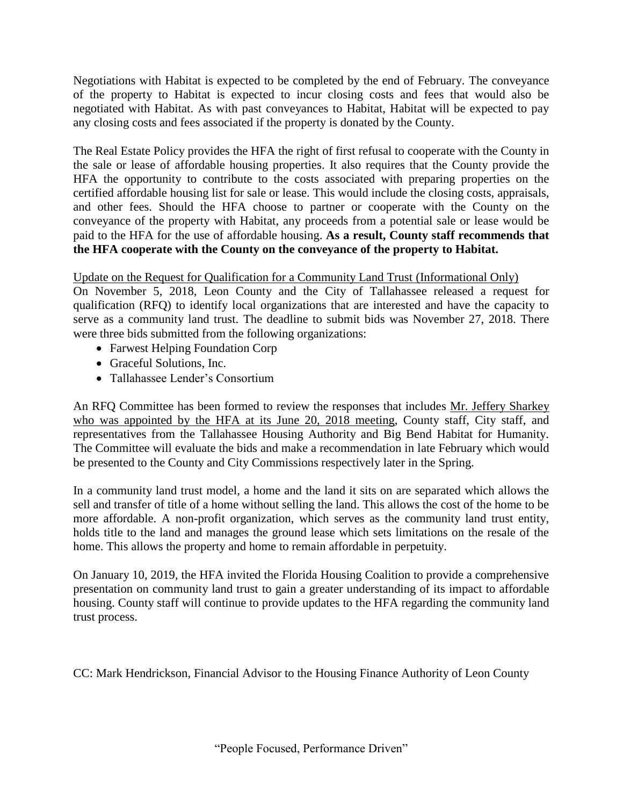Negotiations with Habitat is expected to be completed by the end of February. The conveyance of the property to Habitat is expected to incur closing costs and fees that would also be negotiated with Habitat. As with past conveyances to Habitat, Habitat will be expected to pay any closing costs and fees associated if the property is donated by the County.

The Real Estate Policy provides the HFA the right of first refusal to cooperate with the County in the sale or lease of affordable housing properties. It also requires that the County provide the HFA the opportunity to contribute to the costs associated with preparing properties on the certified affordable housing list for sale or lease. This would include the closing costs, appraisals, and other fees. Should the HFA choose to partner or cooperate with the County on the conveyance of the property with Habitat, any proceeds from a potential sale or lease would be paid to the HFA for the use of affordable housing. **As a result, County staff recommends that the HFA cooperate with the County on the conveyance of the property to Habitat.** 

# Update on the Request for Qualification for a Community Land Trust (Informational Only)

On November 5, 2018, Leon County and the City of Tallahassee released a request for qualification (RFQ) to identify local organizations that are interested and have the capacity to serve as a community land trust. The deadline to submit bids was November 27, 2018. There were three bids submitted from the following organizations:

- Farwest Helping Foundation Corp
- Graceful Solutions, Inc.
- Tallahassee Lender's Consortium

An RFQ Committee has been formed to review the responses that includes Mr. Jeffery Sharkey who was appointed by the HFA at its June 20, 2018 meeting, County staff, City staff, and representatives from the Tallahassee Housing Authority and Big Bend Habitat for Humanity. The Committee will evaluate the bids and make a recommendation in late February which would be presented to the County and City Commissions respectively later in the Spring.

In a community land trust model, a home and the land it sits on are separated which allows the sell and transfer of title of a home without selling the land. This allows the cost of the home to be more affordable. A non-profit organization, which serves as the community land trust entity, holds title to the land and manages the ground lease which sets limitations on the resale of the home. This allows the property and home to remain affordable in perpetuity.

On January 10, 2019, the HFA invited the Florida Housing Coalition to provide a comprehensive presentation on community land trust to gain a greater understanding of its impact to affordable housing. County staff will continue to provide updates to the HFA regarding the community land trust process.

CC: Mark Hendrickson, Financial Advisor to the Housing Finance Authority of Leon County